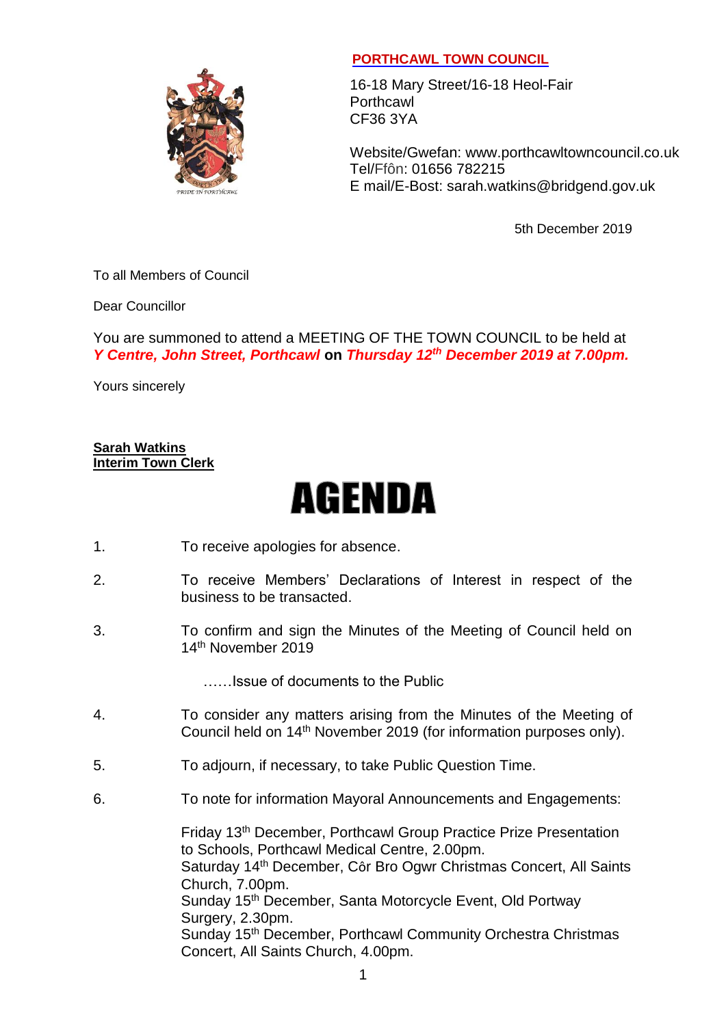

## **PORTHCAWL TOWN COUNCIL**

16-18 Mary Street/16-18 Heol-Fair **Porthcawl** CF36 3YA

Website/Gwefan: [www.porthcawltowncouncil.co.uk](http://www.porthcawltowncouncil.co.uk/) Tel/Ffôn: 01656 782215 E mail/E-Bost: sarah.watkins@bridgend.gov.uk

5th December 2019

To all Members of Council

Dear Councillor

You are summoned to attend a MEETING OF THE TOWN COUNCIL to be held at *Y Centre, John Street, Porthcawl* **on** *Thursday 12 th December 2019 at 7.00pm.*

Yours sincerely

**Sarah Watkins Interim Town Clerk**

## **AGENDA**

- 1. To receive apologies for absence.
- 2. To receive Members' Declarations of Interest in respect of the business to be transacted.
- 3. To confirm and sign the Minutes of the Meeting of Council held on 14th November 2019

……Issue of documents to the Public

- 4. To consider any matters arising from the Minutes of the Meeting of Council held on 14th November 2019 (for information purposes only).
- 5. To adjourn, if necessary, to take Public Question Time.
- 6. To note for information Mayoral Announcements and Engagements:

Friday 13th December, Porthcawl Group Practice Prize Presentation to Schools, Porthcawl Medical Centre, 2.00pm. Saturday 14th December, Côr Bro Ogwr Christmas Concert, All Saints Church, 7.00pm. Sunday 15<sup>th</sup> December, Santa Motorcycle Event, Old Portway Surgery, 2.30pm. Sunday 15<sup>th</sup> December, Porthcawl Community Orchestra Christmas Concert, All Saints Church, 4.00pm.